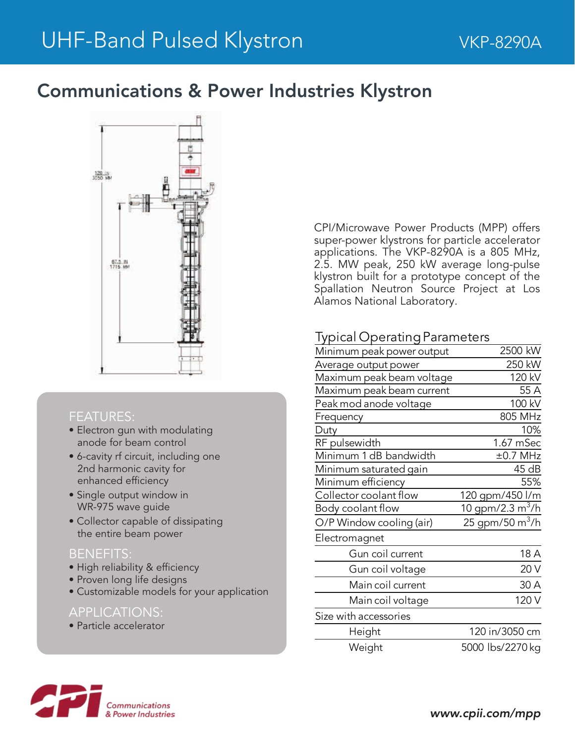## Communications & Power Industries Klystron



#### FEATURES:

- Electron gun with modulating anode for beam control
- 6-cavity rf circuit, including one 2nd harmonic cavity for enhanced efficiency
- Single output window in WR-975 wave guide
- Collector capable of dissipating the entire beam power

#### BENEFITS:

- High reliability & efficiency
- Proven long life designs
- Customizable models for your application

#### APPLICATIONS:

• Particle accelerator

CPI/Microwave Power Products (MPP) offers super-power klystrons for particle accelerator applications. The VKP-8290A is a 805 MHz, 2.5. MW peak, 250 kW average long-pulse klystron built for a prototype concept of the Spallation Neutron Source Project at Los Alamos National Laboratory.

### **Typical Operating Parameters**

| Minimum peak power output | 2500 kW                     |
|---------------------------|-----------------------------|
| Average output power      | 250 kW                      |
| Maximum peak beam voltage | 120 kV                      |
| Maximum peak beam current | 55 A                        |
| Peak mod anode voltage    | 100 kV                      |
| Frequency                 | 805 MHz                     |
| Duty                      | 10%                         |
| RF pulsewidth             | 1.67 mSec                   |
| Minimum 1 dB bandwidth    | $\pm 0.7$ MHz               |
| Minimum saturated gain    | 45 dB                       |
| Minimum efficiency        | 55%                         |
| Collector coolant flow    | 120 gpm/450 l/m             |
| Body coolant flow         | 10 gpm/2.3 $m^3/h$          |
| O/P Window cooling (air)  | 25 gpm/50 m <sup>3</sup> /h |
| Electromagnet             |                             |
| Gun coil current          | 18 A                        |
| Gun coil voltage          | 20 V                        |
| Main coil current         | 30 A                        |
| Main coil voltage         | 120 V                       |
| Size with accessories     |                             |
| Height                    | 120 in/3050 cm              |
| Weight                    | 5000 lbs/2270 kg            |